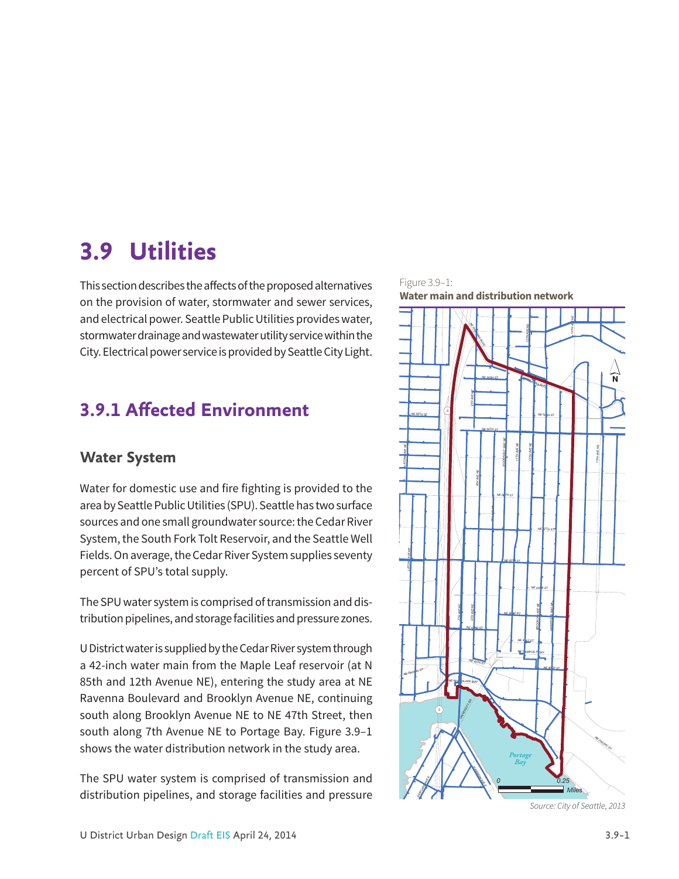# **3.9 Utilities**

This section describes the affects of the proposed alternatives on the provision of water, stormwater and sewer services, and electrical power. Seattle Public Utilities provides water, stormwater drainage and wastewater utility service within the City. Electrical power service is provided by Seattle City Light.

# **3.9.1 Affected Environment**

# **Water System**

Water for domestic use and fire fighting is provided to the area by Seattle Public Utilities (SPU). Seattle has two surface sources and one small groundwater source: the Cedar River System, the South Fork Tolt Reservoir, and the Seattle Well Fields. On average, the Cedar River System supplies seventy percent of SPU's total supply.

The SPU water system is comprised of transmission and distribution pipelines, and storage facilities and pressure zones.

U District water is supplied by the Cedar River system through a 42-inch water main from the Maple Leaf reservoir (at N 85th and 12th Avenue NE), entering the study area at NE Ravenna Boulevard and Brooklyn Avenue NE, continuing south along Brooklyn Avenue NE to NE 47th Street, then south along 7th Avenue NE to Portage Bay. Figure 3.9–1 shows the water distribution network in the study area.

The SPU water system is comprised of transmission and distribution pipelines, and storage facilities and pressure



Figure 3.9–1: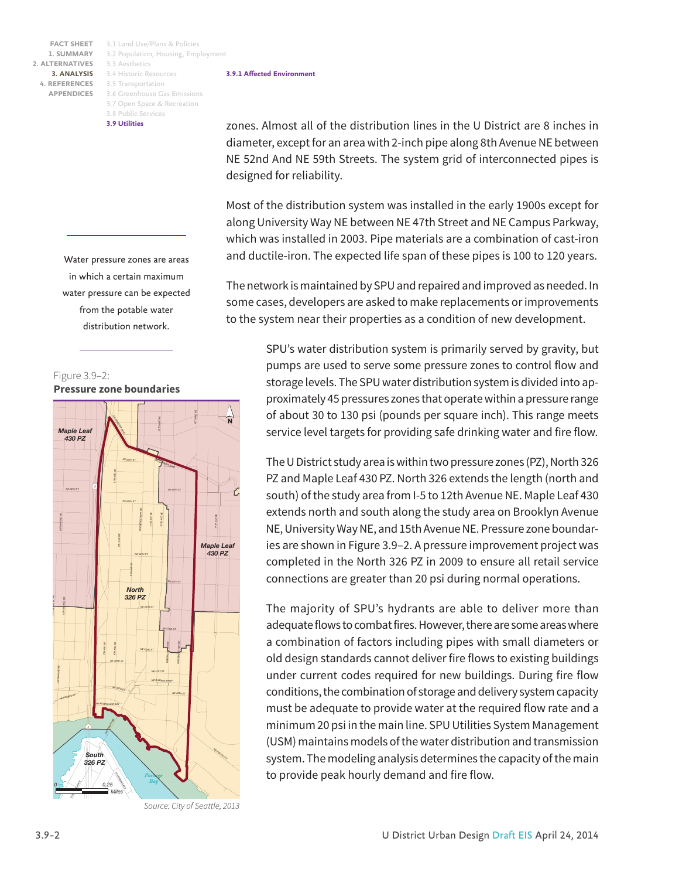3.1 Land Use/Plans & Policies **FACT SHEET** 3.2 Population, Housing, Employment 3.3 Aesthetics 3.4 Historic Resources **3. ANALYSIS** 4. REFERENCES 3.5 Transportation 3.6 Greenhouse Gas Emissions 3.7 Open Space & Recreation 3.8 Public Services **3.9 Utilities**

> Water pressure zones are areas in which a certain maximum water pressure can be expected from the potable water distribution network.





*Source: City of Seattle, 2013*

**3.9.1 Affected Environment**

zones. Almost all of the distribution lines in the U District are 8 inches in diameter, except for an area with 2-inch pipe along 8th Avenue NE between NE 52nd And NE 59th Streets. The system grid of interconnected pipes is designed for reliability.

Most of the distribution system was installed in the early 1900s except for along University Way NE between NE 47th Street and NE Campus Parkway, which was installed in 2003. Pipe materials are a combination of cast-iron and ductile-iron. The expected life span of these pipes is 100 to 120 years.

The network is maintained by SPU and repaired and improved as needed. In some cases, developers are asked to make replacements or improvements to the system near their properties as a condition of new development.

> SPU's water distribution system is primarily served by gravity, but pumps are used to serve some pressure zones to control flow and storage levels. The SPU water distribution system is divided into approximately 45 pressures zones that operate within a pressure range of about 30 to 130 psi (pounds per square inch). This range meets service level targets for providing safe drinking water and fire flow.

> The U District study area is within two pressure zones (PZ), North 326 PZ and Maple Leaf 430 PZ. North 326 extends the length (north and south) of the study area from I-5 to 12th Avenue NE. Maple Leaf 430 extends north and south along the study area on Brooklyn Avenue NE, University Way NE, and 15th Avenue NE. Pressure zone boundaries are shown in Figure 3.9–2. A pressure improvement project was completed in the North 326 PZ in 2009 to ensure all retail service connections are greater than 20 psi during normal operations.

> The majority of SPU's hydrants are able to deliver more than adequate flows to combat fires. However, there are some areas where a combination of factors including pipes with small diameters or old design standards cannot deliver fire flows to existing buildings under current codes required for new buildings. During fire flow conditions, the combination of storage and delivery system capacity must be adequate to provide water at the required flow rate and a minimum 20 psi in the main line. SPU Utilities System Management (USM) maintains models of the water distribution and transmission system. The modeling analysis determines the capacity of the main to provide peak hourly demand and fire flow.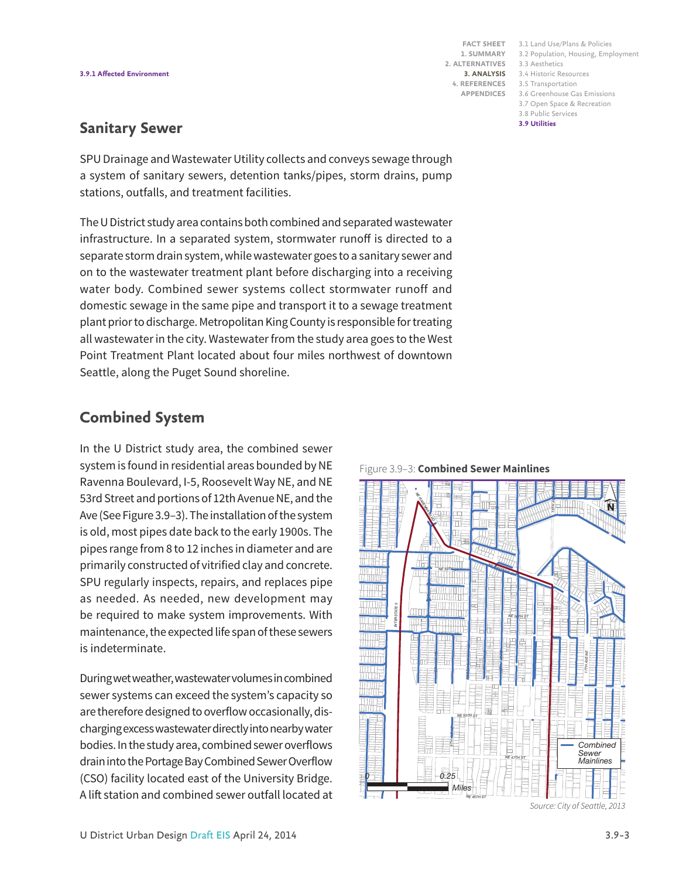3.1 Land Use/Plans & Policies **FACT SHEET** 3.2 Population, Housing, Employment 3.3 Aesthetics 3.4 Historic Resources **3. ANALYSIS** 3.5 Transportation **4. REFERENCES** 3.6 Greenhouse Gas Emissions 3.7 Open Space & Recreation 3.8 Public Services **3.9 Utilities**

# **Sanitary Sewer**

SPU Drainage and Wastewater Utility collects and conveys sewage through a system of sanitary sewers, detention tanks/pipes, storm drains, pump stations, outfalls, and treatment facilities.

The U District study area contains both combined and separated wastewater infrastructure. In a separated system, stormwater runoff is directed to a separate storm drain system, while wastewater goes to a sanitary sewer and on to the wastewater treatment plant before discharging into a receiving water body. Combined sewer systems collect stormwater runoff and domestic sewage in the same pipe and transport it to a sewage treatment plant prior to discharge. Metropolitan King County is responsible for treating all wastewater in the city. Wastewater from the study area goes to the West Point Treatment Plant located about four miles northwest of downtown Seattle, along the Puget Sound shoreline.

# **Combined System**

In the U District study area, the combined sewer system is found in residential areas bounded by NE Ravenna Boulevard, I-5, Roosevelt Way NE, and NE 53rd Street and portions of 12th Avenue NE, and the Ave (See Figure 3.9–3). The installation of the system is old, most pipes date back to the early 1900s. The pipes range from 8 to 12 inches in diameter and are primarily constructed of vitrified clay and concrete. SPU regularly inspects, repairs, and replaces pipe as needed. As needed, new development may be required to make system improvements. With maintenance, the expected life span of these sewers is indeterminate.

During wet weather, wastewater volumes in combined sewer systems can exceed the system's capacity so are therefore designed to overflow occasionally, discharging excess wastewater directly into nearby water bodies. In the study area, combined sewer overflows drain into the Portage Bay Combined Sewer Overflow (CSO) facility located east of the University Bridge. A lift station and combined sewer outfall located at



*Source: City of Seattle, 2013*

Figure 3.9–3: **Combined Sewer Mainlines**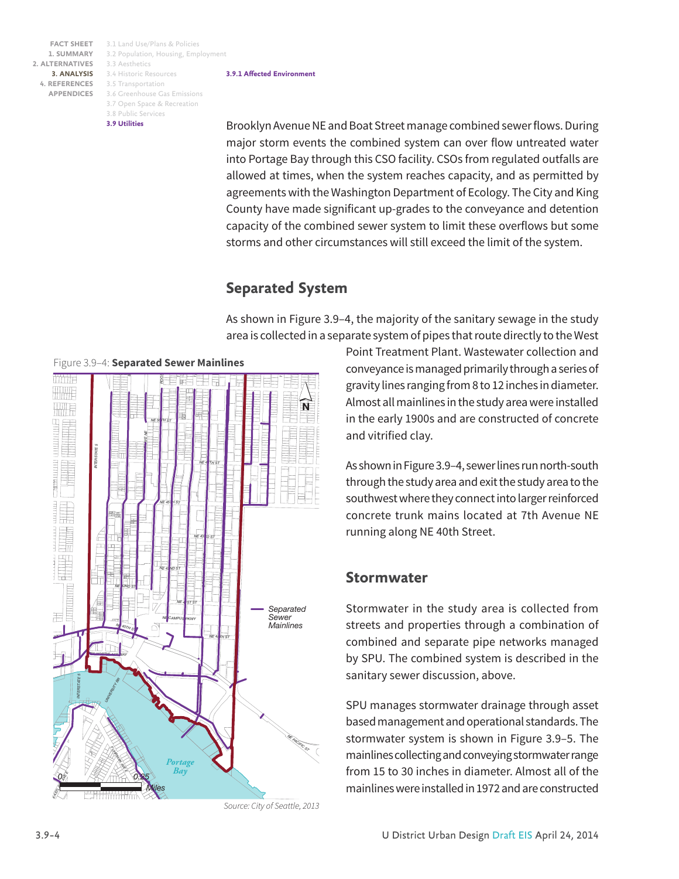3.1 Land Use/Plans & Policies **FACT SHEET** 3.2 Population, Housing, Employment 3.3 Aesthetics 3.4 Historic Resources **3. ANALYSIS** 4. REFERENCES 3.5 Transportation 3.6 Greenhouse Gas Emissions 3.7 Open Space & Recreation 3.8 Public Services **3.9 Utilities**

#### **3.9.1 Affected Environment**

Brooklyn Avenue NE and Boat Street manage combined sewer flows. During major storm events the combined system can over flow untreated water into Portage Bay through this CSO facility. CSOs from regulated outfalls are allowed at times, when the system reaches capacity, and as permitted by agreements with the Washington Department of Ecology. The City and King County have made significant up-grades to the conveyance and detention capacity of the combined sewer system to limit these overflows but some storms and other circumstances will still exceed the limit of the system.

## **Separated System**

As shown in Figure 3.9–4, the majority of the sanitary sewage in the study area is collected in a separate system of pipes that route directly to the West



*Source: City of Seattle, 2013*

Point Treatment Plant. Wastewater collection and conveyance is managed primarily through a series of gravity lines ranging from 8 to 12 inches in diameter. Almost all mainlines in the study area were installed in the early 1900s and are constructed of concrete and vitrified clay.

As shown in Figure 3.9–4, sewer lines run north-south through the study area and exit the study area to the southwest where they connect into larger reinforced concrete trunk mains located at 7th Avenue NE running along NE 40th Street.

### **Stormwater**

Stormwater in the study area is collected from streets and properties through a combination of combined and separate pipe networks managed by SPU. The combined system is described in the sanitary sewer discussion, above.

SPU manages stormwater drainage through asset based management and operational standards. The stormwater system is shown in Figure 3.9–5. The mainlines collecting and conveying stormwater range from 15 to 30 inches in diameter. Almost all of the mainlines were installed in 1972 and are constructed

#### Figure 3.9–4: **Separated Sewer Mainlines**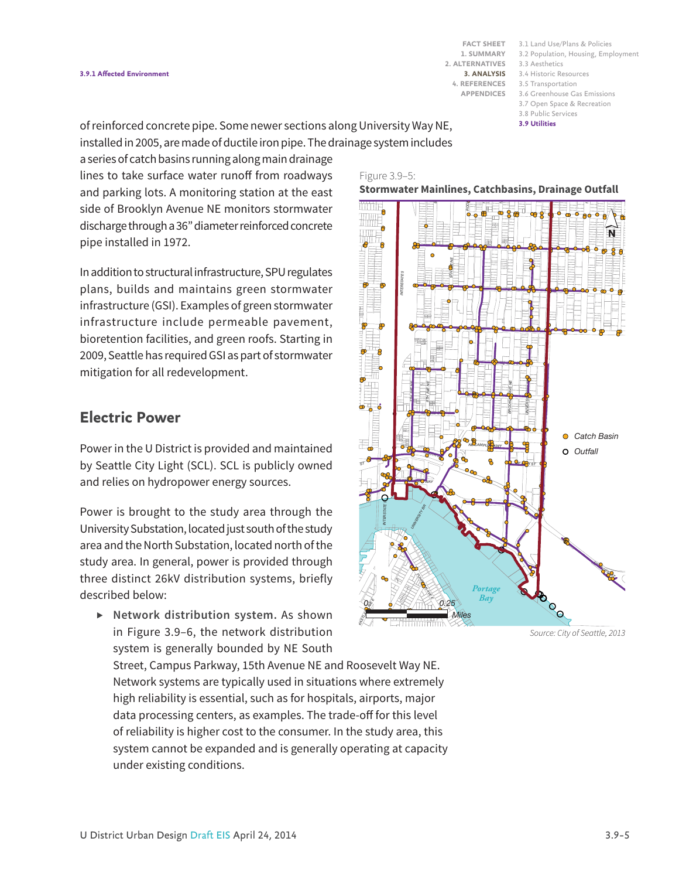3.1 Land Use/Plans & Policies **FACT SHEET** 3.2 Population, Housing, Employment 3.3 Aesthetics 3.4 Historic Resources **3. ANALYSIS** 3.5 Transportation **4. REFERENCES** 3.6 Greenhouse Gas Emissions 3.7 Open Space & Recreation 3.8 Public Services

**3.9 Utilities**

of reinforced concrete pipe. Some newer sections along University Way NE, installed in 2005, are made of ductile iron pipe. The drainage system includes

a series of catch basins running along main drainage lines to take surface water runoff from roadways and parking lots. A monitoring station at the east side of Brooklyn Avenue NE monitors stormwater discharge through a 36" diameter reinforced concrete pipe installed in 1972.

In addition to structural infrastructure, SPU regulates plans, builds and maintains green stormwater infrastructure (GSI). Examples of green stormwater infrastructure include permeable pavement, bioretention facilities, and green roofs. Starting in 2009, Seattle has required GSI as part of stormwater mitigation for all redevelopment.

# **Electric Power**

Power in the U District is provided and maintained by Seattle City Light (SCL). SCL is publicly owned and relies on hydropower energy sources.

Power is brought to the study area through the University Substation, located just south of the study area and the North Substation, located north of the study area. In general, power is provided through three distinct 26kV distribution systems, briefly described below:

*▶* **Network distribution system.** As shown in Figure 3.9–6, the network distribution system is generally bounded by NE South

Street, Campus Parkway, 15th Avenue NE and Roosevelt Way NE. Network systems are typically used in situations where extremely high reliability is essential, such as for hospitals, airports, major data processing centers, as examples. The trade-off for this level of reliability is higher cost to the consumer. In the study area, this system cannot be expanded and is generally operating at capacity under existing conditions.



#### *17TH AVE NE 8TH AVE NE 11TH AVE NE 12TH AVE NE* **Stormwater Mainlines, Catchbasins, Drainage Outfall**



*Source: City of Seattle, 2013*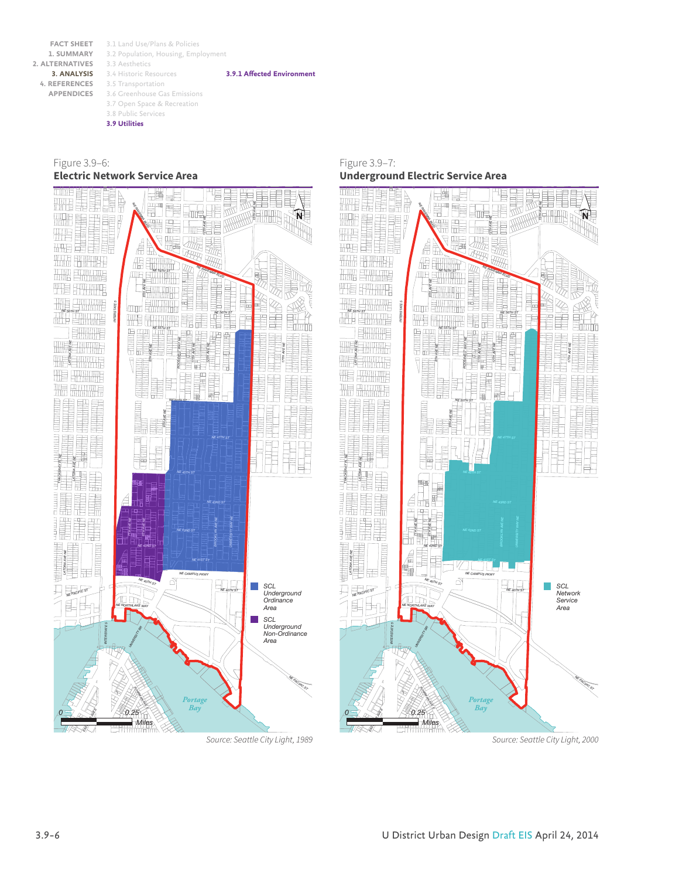**FACT SHEET 1. SUMMARY 2. ALTERNATIVES 3. ANALYSIS 4. REFERENCES APPENDICES**

3.1 Land Use/Plans & Policies 3.2 Population, Housing, Employment 3.3 Aesthetics 3.4 Historic Resources 3.5 Transportation 3.6 Greenhouse Gas Emissions 3.7 Open Space & Recreation 3.8 Public Services **3.9 Utilities**

**3.9.1 Affected Environment**

Figure 3.9–6: **Electric Network Service Area**



Figure 3.9–7: **Underground Electric Service Area**



*Source: Seattle City Light, 2000*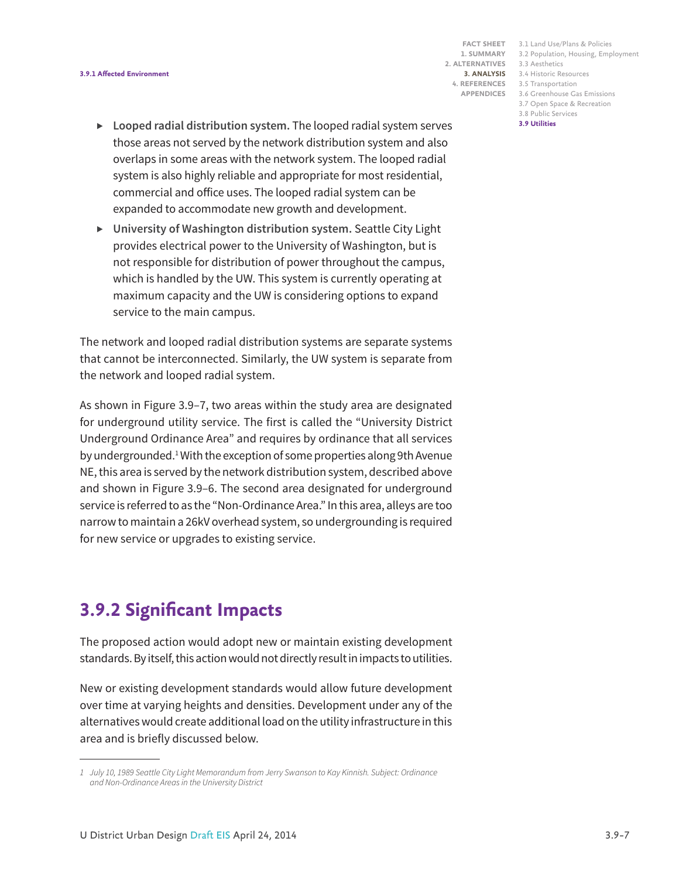#### **3.9.1 Affected Environment**

**1. SUMMARY 2. ALTERNATIVES APPENDICES**

3.1 Land Use/Plans & Policies **FACT SHEET** 3.2 Population, Housing, Employment 3.3 Aesthetics 3.4 Historic Resources **3. ANALYSIS** 3.5 Transportation **4. REFERENCES** 3.6 Greenhouse Gas Emissions 3.7 Open Space & Recreation 3.8 Public Services **3.9 Utilities**

- *▶* **Looped radial distribution system.** The looped radial system serves those areas not served by the network distribution system and also overlaps in some areas with the network system. The looped radial system is also highly reliable and appropriate for most residential, commercial and office uses. The looped radial system can be expanded to accommodate new growth and development.
- *▶* **University of Washington distribution system.** Seattle City Light provides electrical power to the University of Washington, but is not responsible for distribution of power throughout the campus, which is handled by the UW. This system is currently operating at maximum capacity and the UW is considering options to expand service to the main campus.

The network and looped radial distribution systems are separate systems that cannot be interconnected. Similarly, the UW system is separate from the network and looped radial system.

As shown in Figure 3.9–7, two areas within the study area are designated for underground utility service. The first is called the "University District Underground Ordinance Area" and requires by ordinance that all services by undergrounded.<sup>1</sup> With the exception of some properties along 9th Avenue NE, this area is served by the network distribution system, described above and shown in Figure 3.9–6. The second area designated for underground service is referred to as the "Non-Ordinance Area." In this area, alleys are too narrow to maintain a 26kV overhead system, so undergrounding is required for new service or upgrades to existing service.

# **3.9.2 Significant Impacts**

The proposed action would adopt new or maintain existing development standards. By itself, this action would not directly result in impacts to utilities.

New or existing development standards would allow future development over time at varying heights and densities. Development under any of the alternatives would create additional load on the utility infrastructure in this area and is briefly discussed below.

*<sup>1</sup> July 10, 1989 Seattle City Light Memorandum from Jerry Swanson to Kay Kinnish. Subject: Ordinance and Non-Ordinance Areas in the University District*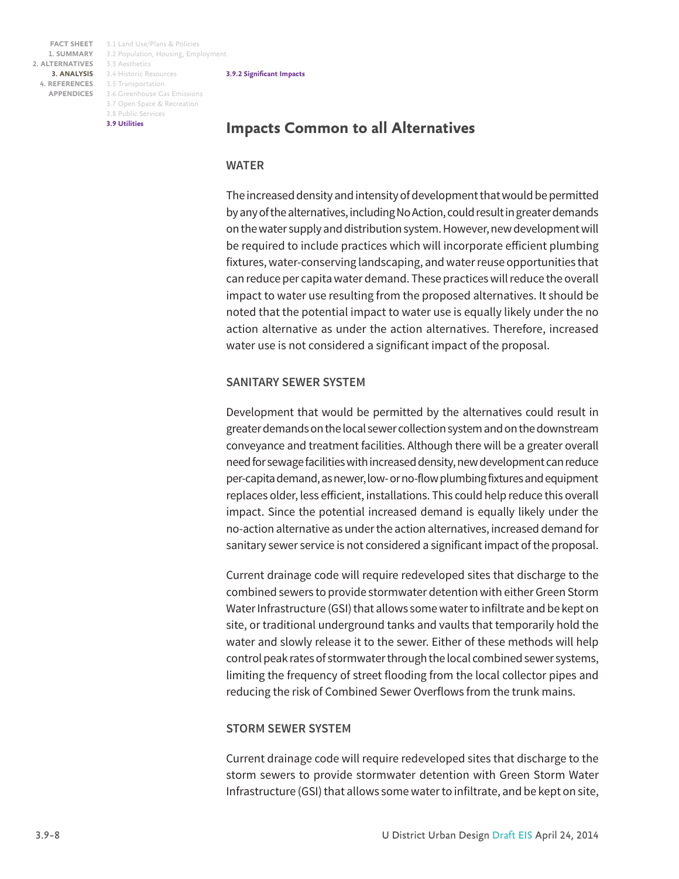3.1 Land Use/Plans & Policies **FACT SHEET** 3.2 Population, Housing, Employment 3.3 Aesthetics 3.4 Historic Resources **3. ANALYSIS** 4. REFERENCES 3.5 Transportation 3.6 Greenhouse Gas Emissions 3.7 Open Space & Recreation 3.8 Public Services **3.9 Utilities**

#### **3.9.2 Significant Impacts**

# **Impacts Common to all Alternatives**

### **WATER**

The increased density and intensity of development that would be permitted by any of the alternatives, including No Action, could result in greater demands on the water supply and distribution system. However, new development will be required to include practices which will incorporate efficient plumbing fixtures, water-conserving landscaping, and water reuse opportunities that can reduce per capita water demand. These practices will reduce the overall impact to water use resulting from the proposed alternatives. It should be noted that the potential impact to water use is equally likely under the no action alternative as under the action alternatives. Therefore, increased water use is not considered a significant impact of the proposal.

### **SANITARY SEWER SYSTEM**

Development that would be permitted by the alternatives could result in greater demands on the local sewer collection system and on the downstream conveyance and treatment facilities. Although there will be a greater overall need for sewage facilities with increased density, new development can reduce per-capita demand, as newer, low- or no-flow plumbing fixtures and equipment replaces older, less efficient, installations. This could help reduce this overall impact. Since the potential increased demand is equally likely under the no-action alternative as under the action alternatives, increased demand for sanitary sewer service is not considered a significant impact of the proposal.

Current drainage code will require redeveloped sites that discharge to the combined sewers to provide stormwater detention with either Green Storm Water Infrastructure (GSI) that allows some water to infiltrate and be kept on site, or traditional underground tanks and vaults that temporarily hold the water and slowly release it to the sewer. Either of these methods will help control peak rates of stormwater through the local combined sewer systems, limiting the frequency of street flooding from the local collector pipes and reducing the risk of Combined Sewer Overflows from the trunk mains.

### **STORM SEWER SYSTEM**

Current drainage code will require redeveloped sites that discharge to the storm sewers to provide stormwater detention with Green Storm Water Infrastructure (GSI) that allows some water to infiltrate, and be kept on site,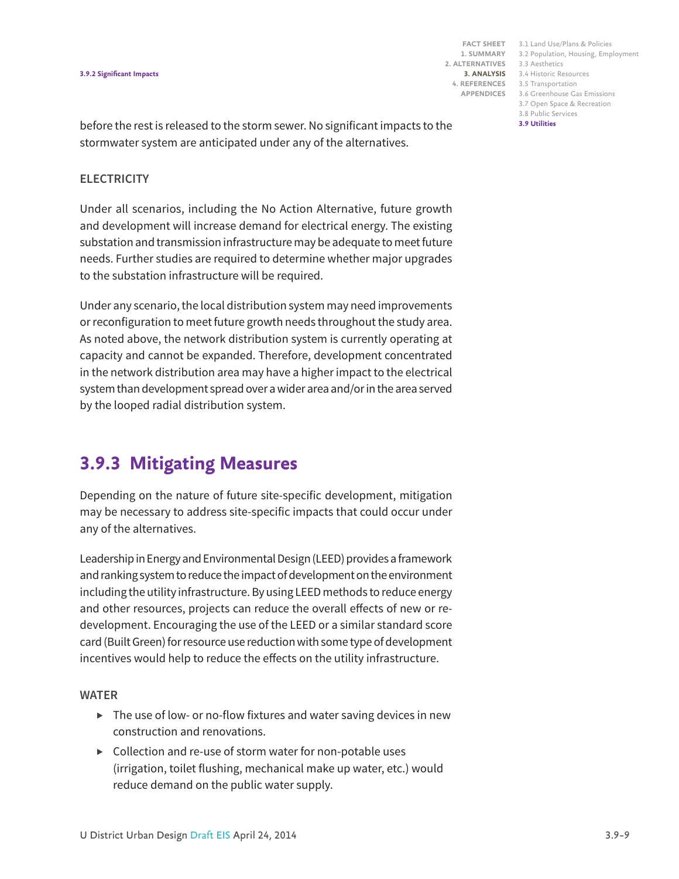#### **3.9.2 Significant Impacts**

**1. SUMMARY 2. ALTERNATIVES APPENDICES**

3.1 Land Use/Plans & Policies **FACT SHEET** 3.2 Population, Housing, Employment 3.3 Aesthetics 3.4 Historic Resources **3. ANALYSIS** 3.5 Transportation **4. REFERENCES** 3.6 Greenhouse Gas Emissions 3.7 Open Space & Recreation 3.8 Public Services **3.9 Utilities**

before the rest is released to the storm sewer. No significant impacts to the stormwater system are anticipated under any of the alternatives.

#### **ELECTRICITY**

Under all scenarios, including the No Action Alternative, future growth and development will increase demand for electrical energy. The existing substation and transmission infrastructure may be adequate to meet future needs. Further studies are required to determine whether major upgrades to the substation infrastructure will be required.

Under any scenario, the local distribution system may need improvements or reconfiguration to meet future growth needs throughout the study area. As noted above, the network distribution system is currently operating at capacity and cannot be expanded. Therefore, development concentrated in the network distribution area may have a higher impact to the electrical system than development spread over a wider area and/or in the area served by the looped radial distribution system.

# **3.9.3 Mitigating Measures**

Depending on the nature of future site-specific development, mitigation may be necessary to address site-specific impacts that could occur under any of the alternatives.

Leadership in Energy and Environmental Design (LEED) provides a framework and ranking system to reduce the impact of development on the environment including the utility infrastructure. By using LEED methods to reduce energy and other resources, projects can reduce the overall effects of new or redevelopment. Encouraging the use of the LEED or a similar standard score card (Built Green) for resource use reduction with some type of development incentives would help to reduce the effects on the utility infrastructure.

### **WATER**

- *▶* The use of low- or no-flow fixtures and water saving devices in new construction and renovations.
- *▶* Collection and re-use of storm water for non-potable uses (irrigation, toilet flushing, mechanical make up water, etc.) would reduce demand on the public water supply.